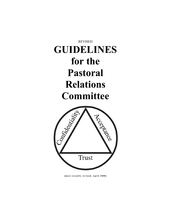# REVISED **GUIDELINES for the Pastoral Relations Committee**



(most recently revised, April 2008)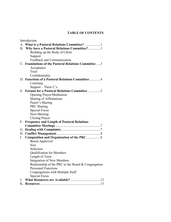## **TABLE OF CONTENTS**

|    | Introduction                                         |
|----|------------------------------------------------------|
|    |                                                      |
|    | B. Why have a Pastoral Relations Committee?1         |
|    | Building up the Body of Christ                       |
|    | Support                                              |
|    | Feedback and Communication                           |
|    | C. Foundations of the Pastoral Relations Committee 3 |
|    | Acceptance                                           |
|    | Trust                                                |
|    | Confidentiality                                      |
|    | D. Functions of a Pastoral Relations Committee 4     |
|    | Listening                                            |
|    | Support – Three $C$ 's                               |
|    | E. Format for a Pastoral Relations Committee 5       |
|    | <b>Opening Prayer/Meditation</b>                     |
|    | Sharing of Affirmations                              |
|    | Pastor's Sharing                                     |
|    | PRC Sharing                                          |
|    | <b>Special Focus</b>                                 |
|    | <b>Next Meeting</b>                                  |
|    | <b>Closing Prayer</b>                                |
| F. | <b>Frequency and Length of Pastoral Relations</b>    |
|    |                                                      |
|    |                                                      |
| Н. |                                                      |
| Ι. |                                                      |
|    | <b>Board Approved</b>                                |
|    | Size                                                 |
|    | Selection                                            |
|    | <b>Qualification for Members</b>                     |
|    | Length of Term                                       |
|    | <b>Integration of New Members</b>                    |
|    | Relationship of the PRC to the Board & Congregation  |
|    | <b>Personnel Functions</b>                           |
|    | Congregations with Multiple Staff                    |
|    | <b>Special Focus</b>                                 |
| J. |                                                      |
|    |                                                      |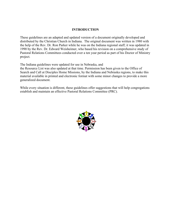## **INTRODUCTION**

These guidelines are an adapted and updated version of a document originally developed and distributed by the Christian Church in Indiana. The original document was written in 1980 with the help of the Rev. Dr. Ron Parker while he was on the Indiana regional staff; it was updated in 1990 by the Rev. Dr. Edward Weisheimer, who based his revision on a comprehensive study of Pastoral Relations Committees conducted over a ten year period as part of his Doctor of Ministry project.

The Indiana guidelines were updated for use in Nebraska, and

the Resource List was also updated at that time. Permission has been given to the Office of Search and Call at Disciples Home Missions, by the Indiana and Nebraska regions, to make this material available in printed and electronic format with some minor changes to provide a more generalized document.

While every situation is different, these guidelines offer suggestions that will help congregations establish and maintain an effective Pastoral Relations Committee (PRC).

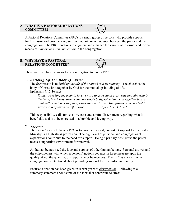#### **A. WHAT IS A PASTORAL RELATIONS COMMITTEE?**



A Pastoral Relations Committee (PRC) is a small group of persons who provide *support* for the pastor and provide a *regular channel of communication* between the pastor and the congregation. The PRC functions to augment and enhance the variety of informal and formal means of *support and communication* in the congregation.

## **B. WHY HAVE A PASTORAL RELATIONS COMMITTEE?**



There are three basic reasons for a congregation to have a PRC:

## **1.** *Building Up The Body of Christ*

The *first* reason is to *build up the life of the church and its ministry.* The church is the body of Christ, knit together by God for the mutual up-building of life. Ephesians 4:15-16 says:

*Rather, speaking the truth in love, we are to grow up in every way into him who is the head, into Christ from whom the whole body, joined and knit together by every joint with which it is supplied, when each part is working properly, makes bodily growth and up-builds itself in love. -Ephesians 4:15-16*

This responsibility calls for sensitive care and careful discernment regarding what is beneficial, and is to be exercised in a humble and loving way.

## **2.** *Support*

The *second* reason to have a PRC is to provide focused, consistent support for the pastor. Ministry is a high stress profession. The high level of personal and congregational expectations contribute to the need for support. Being a primary *care-giver*, the pastor needs a supportive environment for renewal.

All human beings need the love and support of other human beings. Personal growth and the effectiveness with which a person functions depends in large measure upon the quality, if not the quantity, of support she or he receives. The PRC is a way in which a congregation is intentional about providing support for it's pastor and family.

Focused attention has been given in recent years to *clergy stress*. Following is a summary statement about some of the facts that contribute to stress.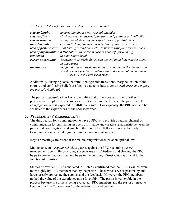*Work related stress factors for parish ministers can include:*

| role ambiguity $-$     | uncertainty about what your job includes                                                                                                                                |
|------------------------|-------------------------------------------------------------------------------------------------------------------------------------------------------------------------|
| role conflict $-$      | clash between ministerial functions and personal or family life                                                                                                         |
| $role$ overload $-$    | being overwhelmed by the expectations of parishioners                                                                                                                   |
| time demands $-$       | constantly being thrown off schedule by unexpected issues                                                                                                               |
|                        | <b>lack of pastoral care</b> $-$ not having a solid counselor to turn to with your own problems                                                                         |
|                        | lack of opportunities to "de-role" $-$ to be taken care of yourself, for a change                                                                                       |
| relocation -           | to a new area or job                                                                                                                                                    |
| career uncertainty $-$ | knowing your whole future can depend upon how you get along<br>in one parish                                                                                            |
| $lonelines -$          | the fact that few outside the ministry understand the demands on<br>you that make you feel isolated even in the midst of commitment<br>from "Clergy Stress and Burnout" |

Additionally, changing social patterns, demographic transitions, marginalization of the church, and conflicting beliefs are factors that contribute to *ministerial stress and impact the pastor's family life*.

The pastor's spouse/partner has a role unlike that of the spouse/partner of other professional people. This person can be put in the middle, between the pastor and the congregation, and is expected to fulfill many roles. Consequently, the PRC needs to be sensitive to the experiences of the spouse/partner.

#### **3.** *Feedback And Communication*

The third reason for a congregation to have a PRC is to provide a regular channel of communication for cultivating an open, affirmative and creative relationship between the pastor and congregation, and enabling the church to fulfill its mission effectively. Communication is a vital ingredient in the provision of support.

Regular meetings are essential for maintaining relationships at an optimal level.

Maintenance of a *regular schedule* guards against the PRC becoming a *crisis* management agent. By providing a regular means of feedback and sharing, the PRC helps to prevent major crises and helps in the building of trust which is crucial to the function of ministry.

Studies of over 50 PRC's conducted in 1988-89 confirmed that the PRC is valued even more highly by PRC members than by the pastor. Those who serve as pastors, by and large, greatly appreciate the support and the feedback. However, the PRC members ranked the value of the experience more favorably. The pastor is vulnerable in the process because she or he is being evaluated. PRC members and the pastor all need to keep in mind the "unevenness" of the relationship and process.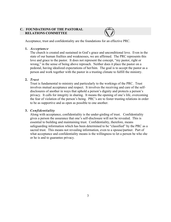#### **C. FOUNDATIONS OF THE PASTORAL RELATIONS COMMITTEE**

Acceptance, trust and confidentiality are the foundations for an effective PRC.

#### **1.** *Acceptance*

The church is created and sustained in God's grace and unconditional love. Even in the state of our human frailties and weaknesses, we are affirmed. The PRC represents this love and grace to the pastor. It does not represent the concept, "my pastor, right or wrong," in the sense of being above reproach. Neither does it place the pastor on a pedestal, having idealized expectations of her/him. The goal is to accept the pastor as a person and work together with the pastor in a trusting climate to fulfill the ministry.

#### **2.** *Trust*

Trust is fundamental to ministry and particularly to the workings of the PRC. Trust involves mutual acceptance and respect. It involves the receiving and care of the selfdisclosures of another in ways that uphold a person's dignity and protects a person's privacy. It calls for integrity in sharing. It means the opening of one's life, overcoming the fear of violation of the person's being. PRC's are to foster trusting relations in order to be as supportive and as open as possible to one another.

#### **3.** *Confidentiality*

Along with acceptance, confidentiality is the under-girding of trust. Confidentiality gives a person the assurance that one's self-disclosure will not be revealed. This is essential to building and maintaining trust. Confidentiality, therefore, means safeguarding information which has been determined to be "classified" by the PRC as a sacred trust. This means not revealing information, even to a spouse/partner. Part of what acceptance and confidentiality means is the willingness to let a person be who she or he is and to guarantee privacy.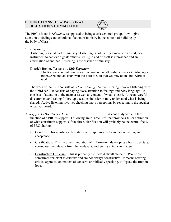## **D. FUNCTIONS OF A PASTORAL RELATIONS COMMITTEE**



The PRC's focus is *relational* as opposed to being a task centered group. It will give attention to feelings and emotional factors of ministry in the context of building up the body of Christ.

## **1.** *Listening*

Listening is a vital part of ministry. Listening is not merely a means to an end, or an instrument to achieve a goal; rather *listening* in and of itself is a presence and an affirmation of another. Listening is the essence of ministry.

Dietrich Bonhoeffer says in, *Life Together:*

The first service that one owes to others in the fellowship consists in listening to them…We should listen with the ears of God that we may speak the Word of God.

The work of the PRC consists of *active listening.* Active listening involves listening with the "third ear." It consists of paying close attention to feelings and body language. It consists of attention to the manner as well as content of what is heard. It means careful discernment and asking follow-up questions in order to fully understand what is being shared. Active listening involves checking one's perceptions by repeating to the speaker what was heard.

- **2.** *Support (the Three C's)* A central dynamic in the function of a PRC is support. Following are "Three C's" that provide a fuller definition of what constitutes support. Of the three, clarification will probably be the central focus of PRC sharing.
	- Comfort: This involves affirmations and expressions of care, appreciation, and acceptance.
	- Clarification: This involves integration of information, developing a holistic picture, sorting out the relevant from the irrelevant, and giving a focus to matters.
	- Constructive Criticism: This is probably the most difficult element. People are sometimes reluctant to criticize and are not always constructive. It means offering critical appraisal on matters of concern, or biblically speaking, to "speak the truth in love."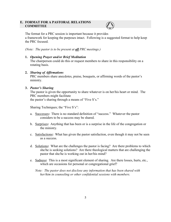#### **E. FORMAT FOR A PASTORAL RELATIONS COMMITTEE**



The format for a PRC session is important because it provides a framework for keeping the purposes intact. Following is a suggested format to help keep the PRC focused.

*(Note: The pastor is to be present at all PRC meetings.)*

**1.** *Opening Prayer and/or Brief Meditation*

The chairperson could do this or request members to share in this responsibility on a rotating basis.

## **2.** *Sharing of Affirmations*

PRC members share anecdotes, praise, bouquets, or affirming words of the pastor's ministry.

## **3.** *Pastor's Sharing*

The pastor is given the opportunity to share whatever is on her/his heart or mind. The PRC members might facilitate the pastor's sharing through a means of "Five S's."

Sharing Techniques; the "Five S's":

- a. Successes**:** There is no standard definition of "success." Whatever the pastor considers to be a success may be shared.
- b. Surprises**:** Anything that has been or is a surprise in the life of the congregation or the ministry.
- c. Satisfactions**:** What has given the pastor satisfaction, even though it may not be seen as a success.
- d. Solutions**:** What are the challenges the pastor is facing? Are there problems to which she/he is seeking solutions? Are there theological matters that are challenging the pastor that she/he is working out in her/his mind?
- e. Sadness**:** This is a most significant element of sharing. Are there losses, hurts, etc., which are occasions for personal or congregational grief?

*Note: The pastor does not disclose any information that has been shared with her/him in counseling or other confidential sessions with members.*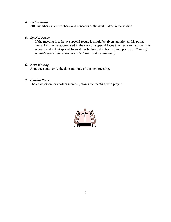#### **4.** *PRC Sharing*

PRC members share feedback and concerns as the next matter in the session.

#### **5.** *Special Focus*

If the meeting is to have a special focus, it should be given attention at this point. Items 2-4 may be abbreviated in the case of a special focus that needs extra time. It is recommended that special focus items be limited to two or three per year*. (Items of possible special focus are described later in the guidelines.)*

## **6.** *Next Meeting*

Announce and verify the date and time of the next meeting.

## **7.** *Closing Prayer*

The chairperson, or another member, closes the meeting with prayer.

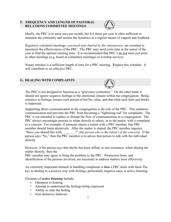## **F. FREQUENCY AND LENGTH OF PASTORAL RELATIONS COMMITTEE MEETINGS**



Ideally, the PRC is to meet once per month, but 8-9 times per year is often sufficient to maintain the continuity and sustain the dynamics as a regular means of support and feedback.

*Regularly scheduled* meetings, *convened and chaired by the chairperson,* are essential to maximize the effectiveness of the PRC. The PRC may need extra time at the outset of the year to find the optimal meeting time. It is recommended that PRC's do not meet just prior to other meetings (e.g. board of committee meetings) or worship services.

Ninety minutes is a sufficient length of time for a PRC meeting. Respect this schedule. It will contribute to an effective PRC.

## **G. DEALING WITH COMPLAINTS**



Supporting direct communication in the congregation is the role of the PRC. This enhances communication and prevents the PRC from becoming a "lightening rod" for complaints. The PRC is not intended to replace or disrupt the flow of communication in a congregation. The PRC always encourages persons to relate directly to others, or to the pastor, with a complaint or a concern. For example, if someone shares a matter with a PRC member, that PRC member should listen attentively. After the matter is shared, the PRC member inquires, "Have you shared this with\_\_\_\_\_\_\_\_?" *(the person who is the subject of the concern).* If the person says "No," then the PRC member is to advise that person to talk with the individual directly.

However, if the person says that she/he has been stifled, or met resistance, when sharing the matter directly, then the

PRC member may agree to bring the problem to the PRC. Permission from, and identification of the persons involved, are necessary to address matters most effectively.

An extremely important element in handling complaints is *how* a PRC deals with them.The key to dealing in a positive way with feelings, particularly negative ones, is active listening.

Elements of *active listening* include:

- Openness to hearing
- Attempt to understand the feelings being expressed
- Ability to state the feeling
- Non-defensive behavior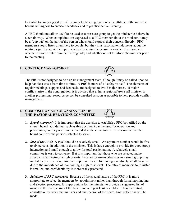Essential to doing a good job of listening to the congregation is the attitude of the minister: her/his willingness to entertain feedback and to practice active listening.

A PRC should not allow itself to be used as a pressure group to get the minister to behave in a certain way. When complaints are expressed to a PRC member about the minister, it may be a "cop out" on the part of the person who should express their concern directly. PRC members should listen attentively to people, but they must also make judgments about the relative significance of the input: whether to advise the person in another direction, and whether or not to enter it in the PRC agenda, and whether or not to inform the minister prior to the meeting.

#### **H. CONFLICT MANAGEMENT**



The PRC is not designed to be a crisis management team, although it may be called upon to help handle a crisis from time to time. A PRC is more of a "safety valve." The elements of regular meetings, support and feedback, are designed to avoid major crises. If major conflicts arise in the congregation, it is advised that either a regional/area staff minister or another professional resource person be consulted as soon as possible to help provide conflict management.

## **I. COMPOSITION AND ORGANIZATION OF THE PASTORAL RELATIONS COMMITTEE**



- **1.** *Board-approved:* It is important that the decision to establish a PRC be ratified by the church board. Guidelines such as this document can be used for operation and procedures, but they need not be included in the constitution. It is desirable that the board confirms the persons selected to serve.
- **2.** *Size of the PRC:* A PRC should be relatively small. An optimum number would be five to six persons, in addition to the minister. This is large enough to provide for good group interaction and small enough to allow for total participation. A relatively small committee is easy to convene. But it is important that those who are selected make attendance at meetings a high priority, because too-many absences in a small group may inhibit its effectiveness. Another important reason for having a relatively small group is due to the importance of maintaining a high trust level. The ratio of members to minister is smaller, and confidentiality is more easily protected.
- **3.** *Selection of PRC members:* Because of the special nature of the PRC, it is more appropriate to select its members by appointment rather than through formal nominating and election processes. It is appropriate for the minister to provide a suggested list of names to the chairperson of the board, including at least one elder. Then, in mutual consultation between the minister and chairperson of the board, final selections will be made.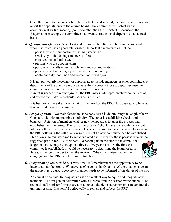Once the committee members have been selected and secured, the board chairperson will report the appointments to the church board. The committee will select its own chairperson at its first meeting (someone other than the minister). Because of the frequency of meetings, the committee may want to rotate the chairperson on an annual basis.

- **4.** *Qualifications for members:* First and foremost, the PRC members are persons with whom the pastor has a good relationship. Important characteristics include:
	- persons who are supportive of the minister with a sensitivity to the feelings and needs of both congregation and minister;
	- persons who are good listeners;
	- persons with skills in human relations and communications;
	- persons who have integrity with regard to maintaining confidentiality; both men and women, of mixed ages.

It is not particularly necessary or appropriate to include members of other committees or departments of the church simply because they represent those groups. Because the committee is small, not all the church can be represented. If input is needed from other groups, the PRC may invite representatives to its meeting and excuse them after a particular agenda is fulfilled.

It is best not to have the current chair of the board on the PRC. It is desirable to have at least one elder on the committee.

- **5.** *Length of term:* Two main factors must be considered in determining the length of term. One has to do with maintaining continuity. The other is establishing checks and balances. Rotation of members enables new perspectives to enter the process and establishes definite terms. The formation of a PRC should take place within six months following the arrival of a new minister. The search committee may be asked to serve as the PRC following the call of a new minister until a new committee can be established. This allows the minister time to get acquainted and to identify those persons who fit the suggested profile for PRC members. Depending upon the size of the committee, length of service may be set up on a three to five year basis. At the time the committee is established, it would be necessary to determine the length of term for each member in order to start the rotation. When the minister leaves the congregation, that PRC would cease to function.
	-
- **6.** *Integration of new members:* Every new PRC member needs the opportunity to be integrated into the group. Whenever she/he comes in, dynamics of the group change and the group must adjust. Every new member needs to be informed of the duties of the PFC.

An annual or biennial training session is an excellent way to equip and integrate new members. The six-person committee with a biennial training session works nicely. The regional staff minister for your area, or another suitable resource person, can conduct the training session. It is helpful periodically to review and refocus the PRC.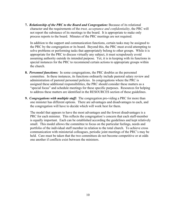**7.** *Relationship of the PRC to the Board and Congregation:* Because of its relational character and the requirements of the *trust, acceptance and confidentiality*, the PRC will not report the substance of its meetings to the board. It is appropriate to make only process reports to the board. Minutes of the PRC meetings are not required.

In addition to the support and communication functions, certain tasks may be assigned to the PRC by the congregation or its board. Beyond this, the PRC must avoid attempting to solve problems or performing tasks that appropriately belong to other groups. While it is appropriate for the PRC to discuss virtually any subject, it must scrupulously avoid assuming authority outside its intended purpose. Yet, it is in keeping with its functions in special instances for the PRC to recommend certain actions to appropriate groups within the church.

- **8.** *Personnel functions:* In some congregations, the PRC doubles as the personnel committee. In these instances, its functions ordinarily include pastoral salary review and administration of pastoral personnel policies. In congregations where the PRC is assigned these additional responsibilities, the PRC should consider these matters as a "special focus" and schedule meetings for these specific purposes. Resources for helping to address these matters are identified in the RESOURCES section of these guidelines.
- **9.** *Congregations with multiple staff:* The congregation pro-viding a PRC for more than one minister has different options. There are advantages and disadvantages to each, and the congregation will have to decide which will work best for them.

The model that appears to have the most advantages and the fewest disadvantages is a PRC for each minister. This reflects the congregation's concern that each staff-member is equally important. Each can be established according the guidelines and kept relatively small. This model allows the committee to focus on the particular feelings, needs and portfolio of the individual staff member in relation to the total church. To achieve cross communication with ministerial colleagues, periodic joint meetings of the PRC's may be held. Care must be taken that the two committees do not become competitive or at odds one another if conflicts exist between the ministers.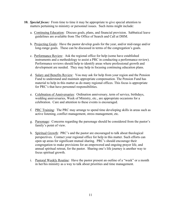- **10.** *Special focus:* From time to time it may be appropriate to give special attention to matters pertaining to ministry or personnel issues. Such items might include:
	- a. Continuing Education: Discuss goals, plans, and financial provision. Sabbatical leave guidelines are available from The Office of Search and Call at DHM.
	- b. Projecting Goals:Have the pastor develop goals for the year, and/or mid-range and/or long-range goals. These can be discussed in terms of the congregation's goals.
	- c. Performance Review:Ask the regional office for help (some have established instruments and a methodology to assist a PRC in conducting a performance review). Performance reviews should help to identify areas where professional growth and development are needed. They may help in focusing continuing education plans.
	- d. Salary and Benefits Review: You may ask for help from your region and the Pension Fund to understand and maintain appropriate compensation. The Pension Fund has material to help in this matter as do many regional offices. This focus is appropriate for PRC's that have personnel responsibilities.
	- e. Celebration of Anniversaries: Ordination anniversary, term of service, birthdays, wedding anniversaries, Week of Ministry, etc., are appropriate occasions for a celebration. Care and attention to these events is encouraged.
	- f. PRC Training: The PRC may arrange to spend time developing skills in areas such as active listening, conflict management, stress management, etc.
	- g. Parsonage:Concerns regarding the parsonage should be considered from the pastor's family's point of view.
	- h. Spiritual Growth:PRC's and the pastor are encouraged to talk about theological perspectives. Contact your regional office for help in this matter. Such efforts can open up areas for significant mutual sharing. PRC's should encourage their congregation to make provisions for an empowered and ongoing prayer life, and annual spiritual retreat, for the pastor. Sharing one's life journey is another way to focus spiritual growth.
	- i. Pastoral Weekly Routine:Have the pastor present an outline of a "week" or a month in her/his ministry as a way to talk about priorities and time management.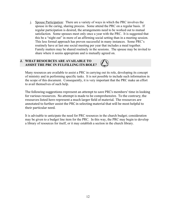j. Spouse Participation:There are a variety of ways in which the PRC involves the spouse in the caring, sharing process. Some attend the PRC on a regular basis. If regular participation is desired, the arrangements need to be worked out to mutual satisfaction. Some spouses meet only once a year with the PRC. It is suggested that this be a "night out" in more of an affirming social setting than in a meeting session. This less formal approach has proven successful in many instances. Some PRC's routinely have at last one social meeting per year that includes a meal together. Family matters may be shared routinely in the sessions. The spouse may be invited to share where it seems appropriate and is mutually agreed on.

## **J. WHAT RESOURCES ARE AVAILABLE TO ASSIST THE PRC IN FULFILLING ITS ROLE?**

Many resources are available to assist a PRC in carrying out its role, developing its concept of ministry and in performing specific tasks. It is not possible to include such information in the scope of this document. Consequently, it is very important that the PRC make an effort to avail themselves of such help.

The following suggestions represent an attempt to save PRC's members' time in looking for various resources. No attempt is made to be comprehensive. To the contrary, the resources listed here represent a much larger field of material. The resources are annotated to further assist the PRC in selecting material that will be most helpful to their
particular
need.

It is advisable to anticipate the need for PRC resources in the church budget; consideration may be given to a budget line item for the PRC. In this way, the PRC may begin to develop a library of resources for itself, or it may establish a section in the church library.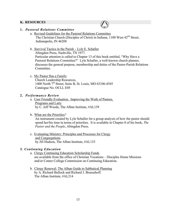## **K. RESOURCES**



## **1.** *Pastoral Relations Committee*

a.Revised Guidelines for the Pastoral Relations Committee The Christian Church (Disciples of Christ) in Indiana, 1100 West 42<sup>nd</sup> Street, Indianapolis, IN 46208

## b. Survival Tactics in the Parish – Lyle E. Schaller

Abingdon Press, Nashville, TN 1977.

Particular attention is called to Chapter 13 of this book entitled, "Why Have a Pastoral Relations Committee?" Lyle Schaller, a well-known church planner, discusses the general purpose, membership and duties of the Pastor-Parish Relations **Committee** 

#### c.My Pastor Has a Family

Church Leadership Resources, 1400 North 7<sup>th</sup> Street, Suite B, St. Louis, MO 63106-4545 Catalogue No. OCLL E05

#### **2.** *Performance Review*

- a.User Friendly Evaluation. Improving the Work of Pastors, Programs and Laity by C. Jeff Woods, The Alban Institute, #AL139
- b.What are the Priorities*?*

An instrument created by Lyle Schaller for a group analysis of how the pastor should spend her/his time in terms of priorities. It is available in Chapter 8 of his book, *The Pastor and the People*, Abingdon Press.

c. Evaluating Ministry: Principles and Processes for Clergy and Congregations by Jill Hudson, The Alban Institute, #AL133

#### **3.** *Continuing Education*

- a. Clergy Continuing Education Scholarship Funds are available from the office of Christian Vocations – Disciples Home Missions and/or Cotner College Commission on Continuing Education.
- b.Clergy Renewal: The Alban Guide to Sabbatical Planning by A. Richard Bullock and Richard J. Bruesehoff. The Alban Institute, #AL214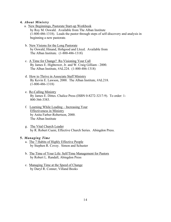#### **4.** *About Ministry*

a.New Beginnings, Pastorate Start-up Workbook

by Roy M. Oswald. Available from The Alban Institute (1-800-486-1318). Leads the pastor through steps of self-discovery and analysis in beginning a new pastorate.

- b.New Visions for the Long Pastorate by Oswald, Hinand, Hobgood and Lloyd. Available from The Alban Institute. (1-800-486-1318)
- c.A Time for Change? Re-Visioning Your Call By James E. Hightower, Jr. and W. Craig Gilliam - 2000. The Alban Institute, #AL224. (1-800-486-1318)
- d.How to Thrive in Associate Staff Ministry By Kevin E. Lawson, 2000. The Alban Institute, #AL218. (1-800-486-1318)
- e.Re-Calling Ministry By James E. Dittes. Chalice Press (ISBN 0-8272-3217-9). To order: 1- 800-366-3383.
- f.Learning While Leading Increasing Your Effectiveness in Ministry by Anita Farber-Robertson, 2000. The Alban Institute
- g.The Vital Church Leader by R. Robert Cueni, Effective Church Series. Abingdon Press.

#### **5.** *Managing Time*

- a.The 7 Habits of Highly Effective People by Stephen R. Covey. Simon and Schuster
- b.The Time of Your Life: Self/Time Management for Pastors by Robert L. Randall, Abingdon Press
- c.Managing Time at the Speed of Change by Daryl R. Conner, Villand Books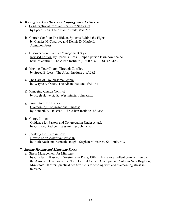#### **6.** *Managing Conflict and Coping with Criticism*

- a.Congregational Conflict: Real-Life Strategies by Speed Leas, The Alban Institute, #AL213
- b.Church Conflict: The Hidden Systems Behind the Fights by Charles H. Cosgrove and Dennis D. Hatfield. Abingdon Press.
- c.Discover Your Conflict Management Style, Revised Edition, by Speed B. Leas. Helps a person learn how she/he handles conflict. The Alban Institute (1-800-486-1318) #AL183
- d.Moving Your Church Through Conflict by Speed B. Leas. The Alban Institute . #AL82
- e.The Care of Troublesome People by Wayne E. Oates. The Alban Institute. #AL154
- f.Managing Church Conflict by Hugh Halverstadt. Westminster John Knox
- g.From Stuck to Unstuck: Overcoming Congregational Impasse by Kenneth A. Halstead. The Alban Institute. #AL194
- h.Clergy Killers: Guidance for Pastors and Congregation Under Attack by G. Lloyd Rediger. Westminster John Knox
- i.Speaking the Truth in Love: How to be an Assertive Christian by Ruth Koch and Kenneth Haugh. Stephen Ministries, St. Louis, MO

#### **7.** *Staying Healthy and Managing Stress*

a.Stress Management for Ministers

by Charles L. Rassleur. Westminster Press, 1982. This is an excellent book written by the Associate Director of the North Central Career Development Center in New Brighton, Minnesota. It offers practical positive steps for coping with and overcoming stress in ministry.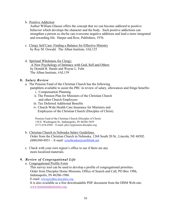b.Positive Addiction

Author William Glasser offers the concept that we can become addicted to positive behavior which develops the character and the body. Such positive addictions can strengthen a person so she/he can overcome negative additions and lead a more integrated and rewarding life. Harper and Row, Publishers, 1976.

- c. Clergy Self Care: Finding a Balance for Effective Ministry by Roy M. Oswald. The Alban Institute, #AL125
- d.Spiritual Wholeness for Clergy: A New Psychology of Intimacy with God, Self and Others by Donald R. Hands and Wayne L. Fehr. The Alban Institute, #AL139

#### **8.** *Salary Review*

- a. The Pension Fund of the Christian Church has the following pamphlets available to assist the PRC in review of salary, allowances and fringe benefits:
	- i. Compensation Planning
	- ii. The Pension Plan for Ministers of the Christian Church and other Church Employees
	- iii. Tax Deferred Additional Benefits
	- iv. Church Wide Health Care Insurance for Ministers and Employees of the Christian Church (Disciples of Christ).

Pension Fund of the Christian Church (Disciples of Christ) 130 E. Washington St., Indianapolis, IN 46204-3659 (317) 634-4504 – E-mail: pfcc1@pension.disciples.org

- b.Christian Church in Nebraska Salary Guidelines. Order from the Christian Church in Nebraska, 1268 South 20 St., Lincoln, NE 68502.  $(800)580-8851$  – E-mail: conebraska@earthlink.net
- c. Check with your own region's office to see if there are any more-localized materials.

## **9.** *Review of Congregational Life*

a.Congregational Profile Form

This survey tool can be used to develop a profile of congregational priorities. Order from Disciples Home Missions, Office of Search and Call, PO Box 1986, Indianapolis, IN 46206-1986.

E-mail: wlynn@dhm.disciples.org.

It is also available as a free downloadable PDF document from the DHM Web-site: www.homelandministries.org.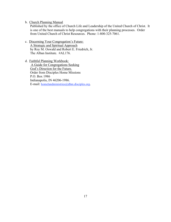b.Church Planning Manual

Published by the office of Church Life and Leadership of the United Church of Christ. It is one of the best manuals to help congregations with their planning processes. Order from United Church of Christ Resources. Phone: 1-800-325-7061.

- c.Discerning Your Congregation's Future: A Strategic and Spiritual Approach by Roy M. Oswald and Robert E. Friedrich, Jr. The Alban Institute. #AL176.
- d. Faithful Planning Workbook: A Guide for Congregations Seeking God's Direction for the Future. Order from Disciples Home Missions P.O. Box 1986 Indianapolis, IN 46206-1986. E-mail: homelandministries@dhm.disciples.org.